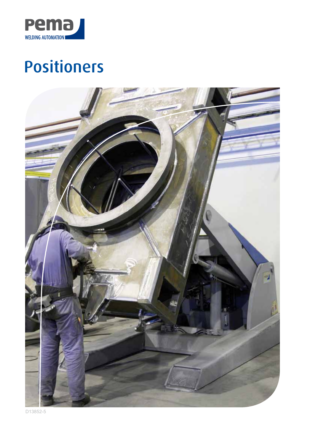

# Positioners

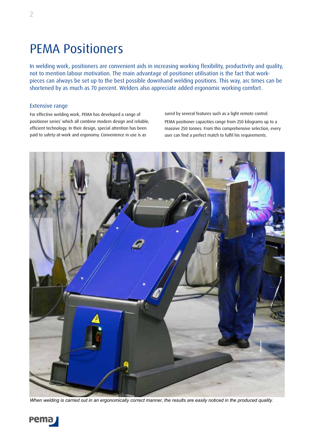# PEMA Positioners

In welding work, positioners are convenient aids in increasing working flexibility, productivity and quality, not to mention labour motivation. The main advantage of positioner utilisation is the fact that workpieces can always be set up to the best possible downhand welding positions. This way, arc times can be shortened by as much as 70 percent. Welders also appreciate added ergonomic working comfort.

### Extensive range

For effective welding work, PEMA has developed a range of positioner series' which all combine modern design and reliable, efficient technology. In their design, special attention has been paid to safety-at-work and ergonomy. Convenience in use is as

sured by several features such as a light remote control. PEMA positioner capacities range from 250 kilograms up to a massive 250 tonnes. From this comprehensive selection, every user can find a perfect match to fulfil his requirements.



*When welding is carried out in an ergonomically correct manner, the results are easily noticed in the produced quality.*

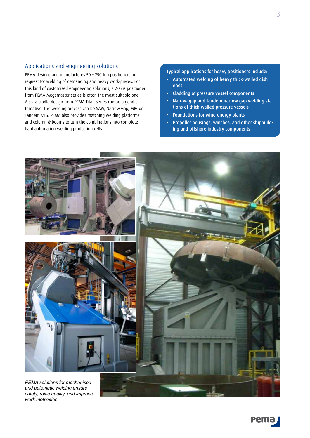### Applications and engineering solutions

PEMA designs and manufactures 50 – 250 ton positioners on request for welding of demanding and heavy work-pieces. For this kind of customised engineering solutions, a 2-axis positioner from PEMA Megamaster series is often the most suitable one. Also, a cradle design from PEMA Titan series can be a good alternative. The welding process can be SAW, Narrow Gap, MIG or Tandem MIG. PEMA also provides matching welding platforms and column & booms to turn the combinations into complete hard automation welding production cells.

Typical applications for heavy positioners include:

- Automated welding of heavy thick-walled dish ends
- Cladding of pressure vessel components
- Narrow gap and tandem narrow gap welding stations of thick-walled pressure vessels
- Foundations for wind energy plants
- Propeller housings, winches, and other shipbuilding and offshore industry components



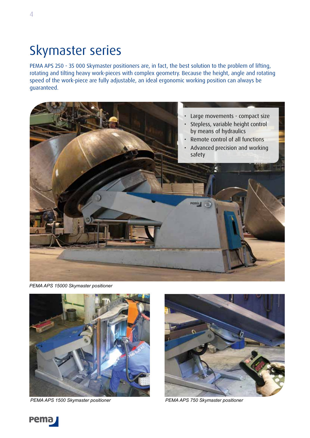# Skymaster series

PEMA APS 250 - 35 000 Skymaster positioners are, in fact, the best solution to the problem of lifting, rotating and tilting heavy work-pieces with complex geometry. Because the height, angle and rotating speed of the work-piece are fully adjustable, an ideal ergonomic working position can always be guaranteed.



*PEMA APS 15000 Skymaster positioner* 



*PEMA APS 1500 Skymaster positioner PEMA APS 750 Skymaster positioner*





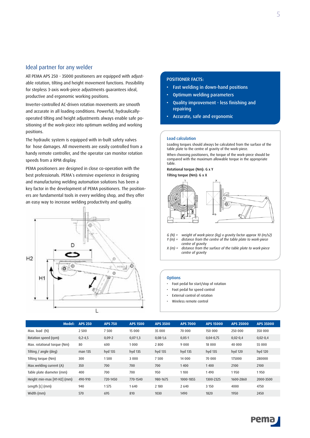### Ideal partner for any welder

All PEMA APS 250 - 35000 positioners are equipped with adjustable rotation, tilting and height movement functions. Possibility for stepless 3-axis work-piece adjustments guarantees ideal, productive and ergonomic working positions.

Inverter-controlled AC-driven rotation movements are smooth and accurate in all loading conditions. Powerful, hydraulicallyoperated tilting and height adjustments always enable safe positioning of the work-piece into optimum welding and working positions.

The hydraulic system is equipped with in-built safety valves for hose damages. All movements are easily controlled from a handy remote controller, and the operator can monitor rotation speeds from a RPM display.

PEMA positioners are designed in close co-operation with the best professionals. PEMA´s extensive experience in designing and manufacturing welding automation solutions has been a key factor in the development of PEMA positioners. The positioners are fundamental tools in every welding shop, and they offer an easy way to increase welding productivity and quality.



### POSITIONER FACTS:

- Fast welding in down-hand positions
- Optimum welding parameters
- Quality improvement less finishing and repairing
- Accurate, safe and ergonomic

#### Load calculation

Loading torques should always be calculated from the surface of the table plate to the centre of gravity of the work-piece. When choosing positioners, the torque of the work-piece should be compared with the maximum allowable torque in the appropriate table. Rotational torque (Nm): G x Y

Tilting torque (Nm): G x X



*G (N) = weight of work-piece (kg) x gravity factor approx 10 (m/s2)* distance from the centre of the table plate to work-piece *centre of gravity*

*X (m) = distance from the surface of the table plate to work-piece centre of gravity*

### **Options**

- Foot pedal for start/stop of rotation
- Foot pedal for speed control
- External control of rotation
- Wireless remote control

|                             | Model: | <b>APS 250</b> | <b>APS 750</b> | <b>APS 1500</b> | <b>APS 3500</b> | <b>APS 7000</b> | <b>APS 15000</b> | <b>APS 25000</b> | <b>APS 35000</b> |
|-----------------------------|--------|----------------|----------------|-----------------|-----------------|-----------------|------------------|------------------|------------------|
| Max. load (N)               |        | 2 5 0 0        | 7500           | 15 000          | 35 000          | 70 000          | 150 000          | 250 000          | 350 000          |
| Rotation speed (rpm)        |        | $0, 2 - 4, 5$  | $0,09-2$       | $0,07-1,3$      | $0,08-1,6$      | $0,05-1$        | $0,04-0,75$      | $0,02-0,4$       | $0,02-0,4$       |
| Max. rotational torque (Nm) |        | 80             | 600            | 1000            | 2800            | 9 0 0 0         | 18 000           | 40 000           | 55 000           |
| Tilting / angle (deg)       |        | man 135        | hyd 135        | hyd 135         | hyd 135         | hyd 135         | hyd 135          | hyd 120          | hyd 120          |
| Tilting torque (Nm)         |        | 300            | 1500           | 3 0 0 0         | 7500            | 14 000          | 70 000           | 175000           | 280000           |
| Max.welding current (A)     |        | 350            | 700            | 700             | 700             | 1400            | 1400             | 2100             | 2100             |
| Table plate diameter (mm)   |        | 400            | 700            | 700             | 950             | 1100            | 1490             | 1950             | 1950             |
| Height min-max [H1-H2] (mm) |        | 490-910        | 720-1450       | 770-1540        | 980-1675        | 1000-1855       | 1300-2325        | 1600-2860        | 2000-3500        |
| Length [L] (mm)             |        | 940            | 1575           | 1640            | 2 1 8 0         | 2 6 4 0         | 3 1 5 0          | 4000             | 4750             |
| Width (mm)                  |        | 570            | 695            | 810             | 1030            | 1490            | 1820             | 1950             | 2450             |

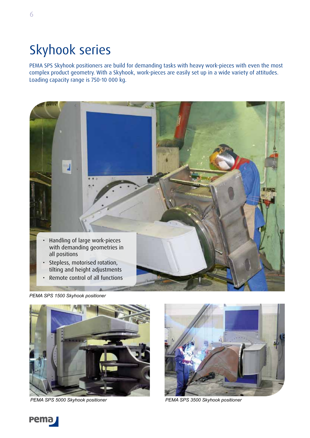# Skyhook series

PEMA SPS Skyhook positioners are build for demanding tasks with heavy work-pieces with even the most complex product geometry. With a Skyhook, work-pieces are easily set up in a wide variety of attitudes. Loading capacity range is 750-10 000 kg.



*PEMA SPS 1500 Skyhook positioner*



*PEMA SPS 5000 Skyhook positioner PEMA SPS 3500 Skyhook positioner*





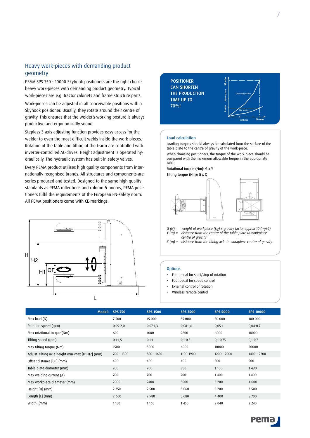### Heavy work-pieces with demanding product geometry

PEMA SPS 750 - 10000 Skyhook positioners are the right choice heavy work-pieces with demanding product geometry. Typical work-pieces are e.g. tractor cabinets and frame structure parts.

Work-pieces can be adjusted in all conceivable positions with a Skyhook positioner. Usually, they rotate around their centre of gravity. This ensures that the welder's working posture is always productive and ergonomically sound.

Stepless 3-axis adjusting function provides easy access for the welder to even the most difficult welds inside the work-pieces. Rotation of the table and tilting of the L-arm are controlled with inverter-controlled AC-drives. Height adjustment is operated hydraulically. The hydraulic system has built-in safety valves.

Every PEMA product utilises high quality components from internationally recognised brands. All structures and components are series produced and tested. Designed to the same high quality standards as PEMA roller beds and column & booms, PEMA positioners fulfil the requirements of the European EN-safety norm. All PEMA positioners come with CE-markings.





### **Options**

- Foot pedal for start/stop of rotation
- Foot pedal for speed control
- External control of rotation
- Wireless remote control

| Model:                                           | <b>SPS 750</b> | <b>SPS 1500</b> | <b>SPS 3500</b> | <b>SPS 5000</b> | <b>SPS 10000</b> |
|--------------------------------------------------|----------------|-----------------|-----------------|-----------------|------------------|
| Max load (N)                                     | 7500           | 15 000          | 35 000          | 50 000          | 100 000          |
| Rotation speed (rpm)                             | $0,09 - 2,0$   | $0,07-1,3$      | $0,08-1,6$      | $0,05-1$        | $0,04-0,7$       |
| Max rotational torque (Nm)                       | 600            | 1000            | 2800            | 6000            | 18000            |
| Tilting speed (rpm)                              | $0,1-1,5$      | $0,1-1$         | $0,1-0,8$       | $0,1-0,75$      | $0,1-0,7$        |
| Max tilting torque (Nm)                          | 1500           | 3000            | 6000            | 10000           | 20000            |
| Adjust. tilting axle height min-max [H1-H2] (mm) | $700 - 1500$   | 850 - 1650      | 1100-1900       | $1200 - 2000$   | $1400 - 2200$    |
| Offset distance [OF] (mm)                        | 400            | 400             | 400             | 500             | 500              |
| Table plate diameter (mm)                        | 700            | 700             | 950             | 1 1 0 0         | 1490             |
| Max welding current (A)                          | 700            | 700             | 700             | 1400            | 1400             |
| Max workpiece diameter (mm)                      | 2000           | 2400            | 3000            | 3 2 0 0         | 4 0 0 0          |
| Height [H] (mm)                                  | 2 3 5 0        | 2 5 0 0         | 3 0 6 0         | 3 2 0 0         | 3 5 0 0          |
| Length $[L]$ (mm)                                | 2 6 6 0        | 2 9 8 0         | 3680            | 4 4 0 0         | 5700             |
| Width (mm)                                       | 1 1 5 0        | 1160            | 1450            | 2 0 4 0         | 2 2 4 0          |



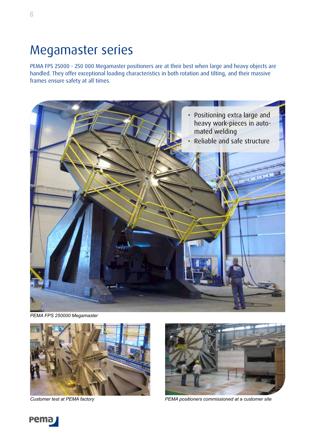### Megamaster series

PEMA FPS 25000 - 250 000 Megamaster positioners are at their best when large and heavy objects are handled. They offer exceptional loading characteristics in both rotation and tilting, and their massive frames ensure safety at all times.



*PEMA FPS 250000 Megamaster*





*Customer test at PEMA factory PEMA positioners commissioned at a customer site*

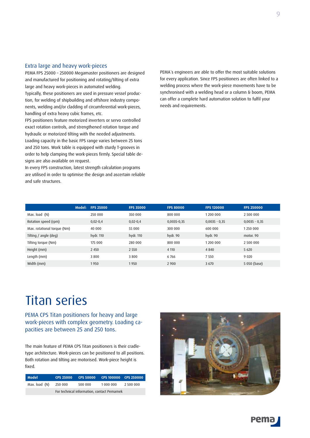### Extra large and heavy work-pieces

PEMA FPS 25000 – 250000 Megamaster positioners are designed and manufactured for positioning and rotating/tilting of extra large and heavy work-pieces in automated welding. Typically, these positioners are used in pressure vessel production, for welding of shipbuilding and offshore industry components, welding and/or cladding of circumferential work-pieces, handling of extra heavy cubic frames, etc.

FPS positioners feature motorized inverters or servo controlled exact rotation controls, and strengthened rotation torque and hydraulic or motorized tilting with the needed adjustments. Loading capacity in the basic FPS range varies between 25 tons and 250 tons. Work table is equipped with sturdy T-grooves in order to help clamping the work-pieces firmly. Special table designs are also available on request.

In every FPS construction, latest strength calculation programs are utilised in order to optimise the design and ascertain reliable and safe structures.

PEMA´s engineers are able to offer the most suitable solutions for every application. Since FPS positioners are often linked to a welding process where the work-piece movements have to be synchronised with a welding head or a column & boom, PEMA can offer a complete hard automation solution to fulfil your needs and requirements.

|                             | <b>Model: FPS 25000</b> | <b>FPS 35000</b> | <b>FPS 80000</b> | <b>FPS 120000</b> | <b>FPS 250000</b> |
|-----------------------------|-------------------------|------------------|------------------|-------------------|-------------------|
| Max. load (N)               | 250 000                 | 350 000          | 800 000          | 1 200 000         | 2 500 000         |
| Rotation speed (rpm)        | $0,02-0,4$              | $0,02-0,4$       | $0,0035 - 0,35$  | $0,0035 - 0,35$   | $0,0035 - 0,35$   |
| Max. rotational torque (Nm) | 40 000                  | 55 000           | 300 000          | 600 000           | 1250 000          |
| Tilting / angle (deg)       | hydr. 110               | hydr. 110        | hydr. 90         | hydr. 90          | motor. 90         |
| Tilting torque (Nm)         | 175 000                 | 280 000          | 800 000          | 1 200 000         | 2 500 000         |
| Height (mm)                 | 2 4 5 0                 | 2 5 5 0          | 4 1 1 0          | 4 8 4 0           | 5 6 20            |
| Length (mm)                 | 3800                    | 3800             | 6766             | 7550              | 9 0 2 0           |
| Width (mm)                  | 1950                    | 1950             | 2 9 0 0          | 3 6 7 0           | 5 050 (base)      |

### Titan series

PEMA CPS Titan positioners for heavy and large work-pieces with complex geometry. Loading capacities are between 25 and 250 tons.

The main feature of PEMA CPS Titan positioners is their cradletype architecture. Work-pieces can be positioned to all positions. Both rotation and tilting are motorised. Work-piece height is fixed.

| <b>Model</b>  |                                            |                      |  |           |  |  |  |  |
|---------------|--------------------------------------------|----------------------|--|-----------|--|--|--|--|
| Max. load (N) | 250 000                                    | 1 000 000<br>500 000 |  | 2 500 000 |  |  |  |  |
|               | For technical information, contact Pemamek |                      |  |           |  |  |  |  |



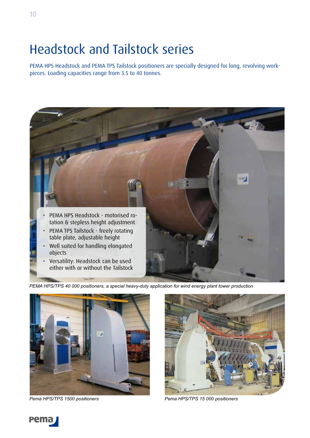# Headstock and Tailstock series

PEMA HPS Headstock and PEMA TPS Tailstock positioners are specially designed for long, revolving workpieces. Loading capacities range from 3.5 to 40 tonnes.



*PEMA HPS/TPS 40 000 positioners, a special heavy-duty application for wind energy plant tower production*



*Pema HPS/TPS 1500 positioners Pema HPS/TPS 15 000 positioners*



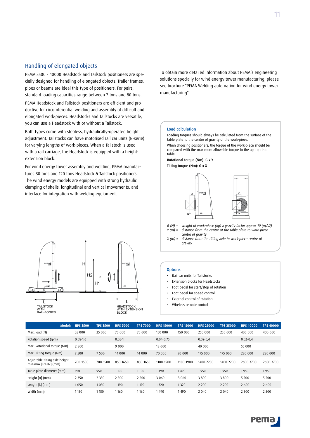### Handling of elongated objects

PEMA 3500 - 40000 Headstock and Tailstock positioners are specially designed for handling of elongated objects. Trailer frames, pipes or beams are ideal this type of positioners. For pairs, standard loading capacities range between 7 tons and 80 tons.

PEMA Headstock and Tailstock positioners are efficient and productive for circumferential welding and assembly of difficult and elongated work-pieces. Headstocks and Tailstocks are versatile, you can use a Headstock with or without a Tailstock.

Both types come with stepless, hydraulically-operated height adjustment. Tailstocks can have motorised rail car units (R-serie) for varying lengths of work-pieces. When a Tailstock is used with a rail carriage, the Headstock is equipped with a heightextension block.

For wind energy tower assembly and welding, PEMA manufactures 80 tons and 120 tons Headstock & Tailstock positioners. The wind energy models are equipped with strong hydraulic clamping of shells, longitudinal and vertical movements, and interface for integration with welding equipment.



To obtain more detailed information about PEMA´s engineering solutions specially for wind energy tower manufacturing, please see brochure "PEMA Welding automation for wind energy tower manufacturing".

### Load calculation

Loading torques should always be calculated from the surface of the table plate to the centre of gravity of the work-piece.

When choosing positioners, the torque of the work-piece should be compared with the maximum allowable torque in the appropriate table.

Rotational torque (Nm): G x Y Tilting torque (Nm): G x X



- *G (N) = weight of work-piece (kg) x gravity factor approx 10 (m/s2)* distance from the centre of the table plate to work-piece *centre of gravity*
- *X (m) = distance from the tilting axle to work-piece centre of gravity*

#### **Options**

- Rail car units for Tailstocks
- Extension blocks for Headstocks
- Foot pedal for start/stop of rotation
- Foot pedal for speed control
- External control of rotation
- Wireless remote control

|                                                          | Model: | <b>HPS 3500</b> | <b>TPS 3500</b> | <b>HPS 7000</b> | <b>TPS 7000</b> | <b>HPS 15000</b> | <b>TPS 15000</b> | <b>HPS 25000</b> | <b>TPS 25000</b> | <b>HPS 40000</b> | <b>TPS 40000</b> |
|----------------------------------------------------------|--------|-----------------|-----------------|-----------------|-----------------|------------------|------------------|------------------|------------------|------------------|------------------|
| Max. load (N)                                            |        | 35 000          | 35 000          | 70 000          | 70 000          | 150 000          | 150 000          | 250 000          | 250 000          | 400 000          | 400 000          |
| Rotation speed (rpm)                                     |        | $0,08-1,6$      |                 | $0,05-1$        |                 | $0,04-0,75$      |                  | $0,02-0,4$       |                  | $0,02-0,4$       |                  |
| Max. Rotational torque (Nm)                              |        | 2 8 0 0         |                 | 9 0 0 0         |                 | 18 000           |                  | 40 000           |                  | 55 000           |                  |
| Max. Tilting torque (Nm)                                 |        | 7 5 0 0         | 7500            | 14 000          | 14 000          | 70 000           | 70 000           | 175 000          | 175 000          | 280 000          | 280 000          |
| Adjustable tilting axle height<br>$min-max [H1-H2] (mm)$ |        | 700-1500        | 700-1500        | 850-1650        | 850-1650        | 1100-1900        | 1100-1900        | 1400-2200        | 1400-2200        | 2600-3700        | 2600-3700        |
| Table plate diameter (mm)                                |        | 950             | 950             | 1100            | 1100            | 1490             | 1490             | 1950             | 1950             | 1950             | 1950             |
| Height [H] (mm)                                          |        | 2 3 5 0         | 2 3 5 0         | 2 5 0 0         | 2 5 0 0         | 3 0 6 0          | 3 0 6 0          | 3800             | 3800             | 5 2 0 0          | 5 2 0 0          |
| Length $[L]$ (mm)                                        |        | 1050            | 1050            | 1 1 9 0         | 1190            | 1320             | 1320             | 2 2 0 0          | 2 2 0 0          | 2 600            | 2 6 0 0          |
| Width (mm)                                               |        | 1 1 5 0         | 1150            | 1160            | 1160            | 1490             | 1490             | 2 0 4 0          | 2 0 4 0          | 2 5 0 0          | 2 5 0 0          |